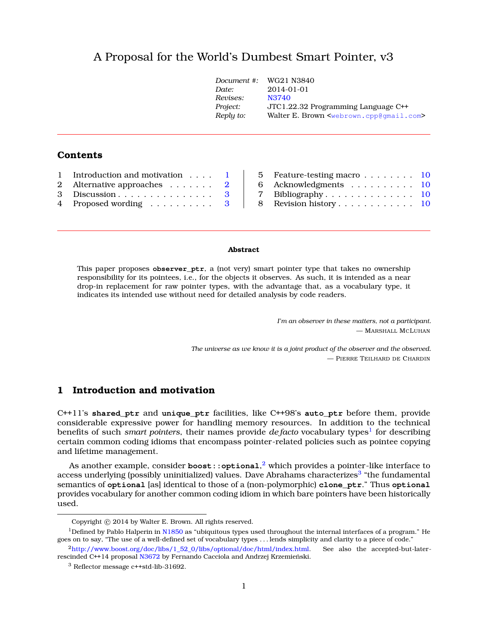# A Proposal for the World's Dumbest Smart Pointer, v[3](#page-0-0)

| Document #: | WG21 N3840                                                      |
|-------------|-----------------------------------------------------------------|
| Date:       | 2014-01-01                                                      |
| Revises:    | N3740                                                           |
| Project:    | JTC1.22.32 Programming Language C++                             |
| Reply to:   | Walter E. Brown <webrown.cpp@qmail.com></webrown.cpp@qmail.com> |
|             |                                                                 |

# **Contents**

| 1 Introduction and motivation 1     |  |
|-------------------------------------|--|
| 2 Alternative approaches $\ldots$ 2 |  |
| 3 Discussion $3$                    |  |
| 4 Proposed wording 3                |  |

| 5 Feature-testing macro $\ldots \ldots \ldots$ 10 |  |
|---------------------------------------------------|--|
| 6 Acknowledgments 10                              |  |
| 7 Bibliography $10$                               |  |
| 8 Revision history 10                             |  |
|                                                   |  |

#### **Abstract**

This paper proposes **observer\_ptr**, a (not very) smart pointer type that takes no ownership responsibility for its pointees, i.e., for the objects it observes. As such, it is intended as a near drop-in replacement for raw pointer types, with the advantage that, as a vocabulary type, it indicates its intended use without need for detailed analysis by code readers.

> *I'm an observer in these matters, not a participant.* — MARSHALL MCLUHAN

*The universe as we know it is a joint product of the observer and the observed.* — PIERRE TEILHARD DE CHARDIN

# <span id="page-0-1"></span>**1 Introduction and motivation**

C++11's **shared\_ptr** and **unique\_ptr** facilities, like C++98's **auto\_ptr** before them, provide considerable expressive power for handling memory resources. In addition to the technical benefits of such *smart pointers*, their names provide *de facto* vocabulary types<sup>[1](#page-0-2)</sup> for describing certain common coding idioms that encompass pointer-related policies such as pointee copying and lifetime management.

As another example, consider **boost::optional**, [2](#page-0-3) which provides a pointer-like interface to access underlying (possibly uninitialized) values. Dave Abrahams characterizes<sup>[3](#page-0-4)</sup> "the fundamental semantics of **optional** [as] identical to those of a (non-polymorphic) **clone\_ptr**." Thus **optional** provides vocabulary for another common coding idiom in which bare pointers have been historically used.

<span id="page-0-2"></span><span id="page-0-0"></span>Copyright  $©$  2014 by Walter E. Brown. All rights reserved.

<sup>&</sup>lt;sup>1</sup>Defined by Pablo Halperin in [N1850](http://www.open-std.org/jtc1/sc22/wg21/docs/papers/2005/n1850.pdf) as "ubiquitous types used throughout the internal interfaces of a program." He goes on to say, "The use of a well-defined set of vocabulary types . . . lends simplicity and clarity to a piece of code."

<span id="page-0-3"></span><sup>2</sup>[http://www.boost.org/doc/libs/1\\_52\\_0/libs/optional/doc/html/index.html.](http://www.boost.org/doc/libs/1_52_0/libs/optional/doc/html/index.html) See also the accepted-but-later-rescinded C++14 proposal [N3672](http://www.open-std.org/jtc1/sc22/wg21/docs/papers/2013/n3406.html) by Fernando Cacciola and Andrzej Krzemieński.

<span id="page-0-4"></span><sup>3</sup> Reflector message c++std-lib-31692.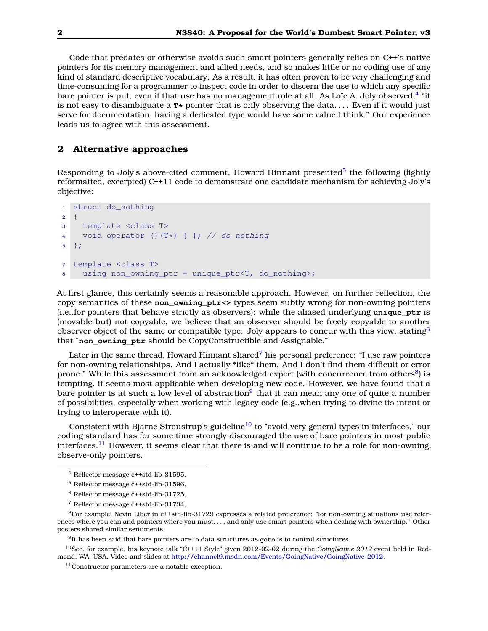Code that predates or otherwise avoids such smart pointers generally relies on C++'s native pointers for its memory management and allied needs, and so makes little or no coding use of any kind of standard descriptive vocabulary. As a result, it has often proven to be very challenging and time-consuming for a programmer to inspect code in order to discern the use to which any specific bare pointer is put, even if that use has no management role at all. As Loïc A. Joly observed, $^4$  $^4$  "it is not easy to disambiguate a  $\mathbf{r} \star$  pointer that is only observing the data.... Even if it would just serve for documentation, having a dedicated type would have some value I think." Our experience leads us to agree with this assessment.

# <span id="page-1-0"></span>**2 Alternative approaches**

Responding to Joly's above-cited comment, Howard Hinnant presented<sup>[5](#page-1-2)</sup> the following (lightly reformatted, excerpted) C++11 code to demonstrate one candidate mechanism for achieving Joly's objective:

```
1 struct do_nothing
2 {
3 template <class T>
4 void operator ()(T*) { }; // do nothing
5 };
7 template <class T>
8 using non_owning_ptr = unique_ptr<T, do_nothing>;
```
At first glance, this certainly seems a reasonable approach. However, on further reflection, the copy semantics of these **non\_owning\_ptr<>** types seem subtly wrong for non-owning pointers (i.e.,for pointers that behave strictly as observers): while the aliased underlying **unique\_ptr** is (movable but) not copyable, we believe that an observer should be freely copyable to another observer object of the same or compatible type. Joly appears to concur with this view, stating<sup>[6](#page-1-3)</sup> that "non owning ptr should be CopyConstructible and Assignable."

Later in the same thread, Howard Hinnant shared<sup>[7](#page-1-4)</sup> his personal preference: "I use raw pointers for non-owning relationships. And I actually \*like\* them. And I don't find them difficult or error prone." While this assessment from an acknowledged expert (with concurrence from others<sup>[8](#page-1-5)</sup>) is tempting, it seems most applicable when developing new code. However, we have found that a bare pointer is at such a low level of abstraction<sup>[9](#page-1-6)</sup> that it can mean any one of quite a number of possibilities, especially when working with legacy code (e.g.,when trying to divine its intent or trying to interoperate with it).

Consistent with Bjarne Stroustrup's guideline<sup>[10](#page-1-7)</sup> to "avoid very general types in interfaces," our coding standard has for some time strongly discouraged the use of bare pointers in most public interfaces.<sup>[11](#page-1-8)</sup> However, it seems clear that there is and will continue to be a role for non-owning, observe-only pointers.

<span id="page-1-1"></span><sup>4</sup> Reflector message c++std-lib-31595.

<span id="page-1-2"></span><sup>5</sup> Reflector message c++std-lib-31596.

<span id="page-1-3"></span><sup>6</sup> Reflector message c++std-lib-31725.

<span id="page-1-5"></span><span id="page-1-4"></span><sup>7</sup> Reflector message c++std-lib-31734.

<sup>8</sup>For example, Nevin Liber in c++std-lib-31729 expresses a related preference: "for non-owning situations use references where you can and pointers where you must. . . , and only use smart pointers when dealing with ownership." Other posters shared similar sentiments.

<span id="page-1-7"></span><span id="page-1-6"></span><sup>9</sup> It has been said that bare pointers are to data structures as **goto** is to control structures.

<sup>10</sup>See, for example, his keynote talk "C++11 Style" given 2012-02-02 during the *GoingNative 2012* event held in Redmond, WA, USA. Video and slides at [http://channel9.msdn.com/Events/GoingNative/GoingNative-2012.](http://channel9.msdn.com/Events/GoingNative/GoingNative-2012)

<span id="page-1-8"></span><sup>11</sup>Constructor parameters are a notable exception.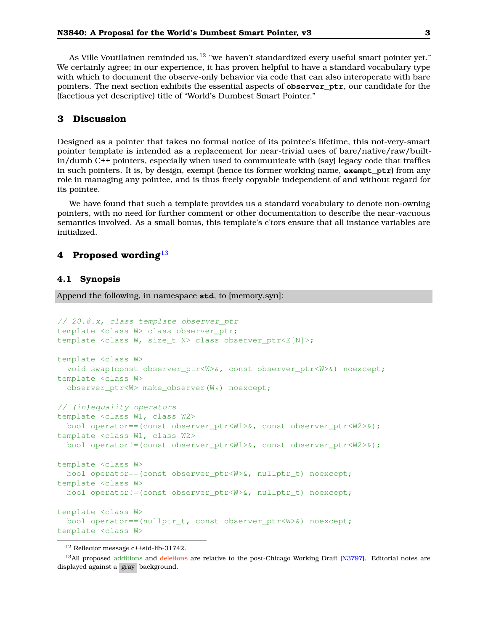As Ville Voutilainen reminded us,  $12$  "we haven't standardized every useful smart pointer yet." We certainly agree; in our experience, it has proven helpful to have a standard vocabulary type with which to document the observe-only behavior via code that can also interoperate with bare pointers. The next section exhibits the essential aspects of **observer\_ptr**, our candidate for the (facetious yet descriptive) title of "World's Dumbest Smart Pointer."

## <span id="page-2-0"></span>**3 Discussion**

Designed as a pointer that takes no formal notice of its pointee's lifetime, this not-very-smart pointer template is intended as a replacement for near-trivial uses of bare/native/raw/builtin/dumb C++ pointers, especially when used to communicate with (say) legacy code that traffics in such pointers. It is, by design, exempt (hence its former working name, **exempt\_ptr**) from any role in managing any pointee, and is thus freely copyable independent of and without regard for its pointee.

We have found that such a template provides us a standard vocabulary to denote non-owning pointers, with no need for further comment or other documentation to describe the near-vacuous semantics involved. As a small bonus, this template's c'tors ensure that all instance variables are initialized.

### <span id="page-2-1"></span>**4 Proposed wording**[13](#page-2-3)

#### **4.1 Synopsis**

Append the following, in namespace **std**, to [memory.syn]:

```
// 20.8.x, class template observer_ptr
template <class W> class observer_ptr;
template <class W, size_t N> class observer_ptr<E[N]>;
template <class W>
 void swap(const observer_ptr<W>&, const observer_ptr<W>&) noexcept;
template <class W>
  observer_ptr<W> make_observer(W*) noexcept;
// (in)equality operators
template <class W1, class W2>
 bool operator==(const observer ptr<W1>\&sub>, const observer ptr<W2>\&sub>);
template <class W1, class W2>
 bool operator!=(const observer_ptr<W1>&, const observer_ptr<W2>&);
template <class W>
 bool operator==(const observer_ptr<W>&, nullptr_t) noexcept;
template <class W>
 bool operator!=(const observer_ptr<W>&, nullptr_t) noexcept;
template <class W>
 bool operator==(nullptr_t, const observer_ptr<W>&) noexcept;
template <class W>
```
<span id="page-2-3"></span><span id="page-2-2"></span><sup>12</sup> Reflector message c++std-lib-31742.

<sup>&</sup>lt;sup>13</sup>All proposed additions and deletions are relative to the post-Chicago Working Draft [\[N3797\]](#page-9-4). Editorial notes are displayed against a gray background.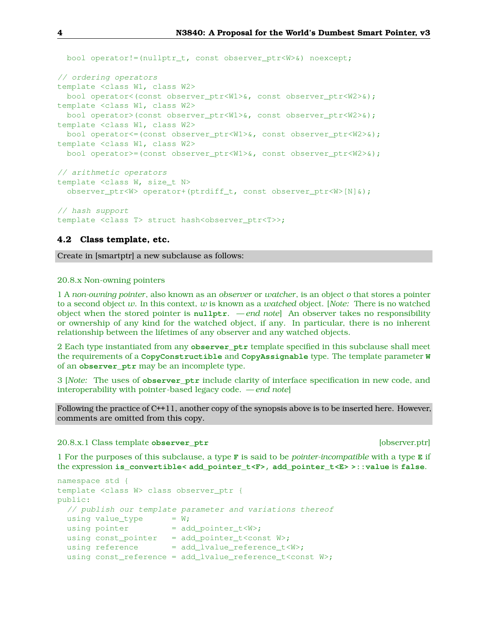```
bool operator!=(nullptr_t, const observer_ptr<W>&) noexcept;
// ordering operators
template <class W1, class W2>
  bool operator<(const observer_ptr<W1>&, const observer_ptr<W2>&);
template <class W1, class W2>
 bool operator>(const observer_ptr<W1>&, const observer_ptr<W2>&);
template <class W1, class W2>
 bool operator<=(const observer_ptr<W1>&, const observer_ptr<W2>&);
template <class W1, class W2>
 bool operator>=(const observer_ptr<W1>&, const observer_ptr<W2>&);
// arithmetic operators
template <class W, size_t N>
 observer_ptr<W> operator+(ptrdiff_t, const observer_ptr<W>[N]&);
// hash support
template <class T> struct hash<observer_ptr<T>>;
```
#### **4.2 Class template, etc.**

Create in [smartptr] a new subclause as follows:

#### 20.8.x Non-owning pointers

1 A *non-owning pointer*, also known as an *observer* or *watcher*, is an object *o* that stores a pointer to a second object *w*. In this context, *w* is known as a *watched* object. [*Note:* There is no watched object when the stored pointer is **nullptr**. — *end note*] An observer takes no responsibility or ownership of any kind for the watched object, if any. In particular, there is no inherent relationship between the lifetimes of any observer and any watched objects.

2 Each type instantiated from any **observer\_ptr** template specified in this subclause shall meet the requirements of a **CopyConstructible** and **CopyAssignable** type. The template parameter **W** of an **observer\_ptr** may be an incomplete type.

3 [*Note:* The uses of **observer\_ptr** include clarity of interface specification in new code, and interoperability with pointer-based legacy code. — *end note*]

Following the practice of C++11, another copy of the synopsis above is to be inserted here. However, comments are omitted from this copy.

#### 20.8.x.1 Class template **observer\_ptr** [observer.ptr]

1 For the purposes of this subclause, a type **F** is said to be *pointer-incompatible* with a type **E** if the expression **is\_convertible< add\_pointer\_t<F>, add\_pointer\_t<E> >::value** is **false**.

```
namespace std {
template <class W> class observer_ptr {
public:
 // publish our template parameter and variations thereof
 using value_type = W;using pointer = add\_pointer_t<W>;
 using const_pointer = add_pointer_t<const W>;
 using reference = add\_lvalue\_reference_t < W>};using const_reference = add_lvalue_reference_t<const W>;
```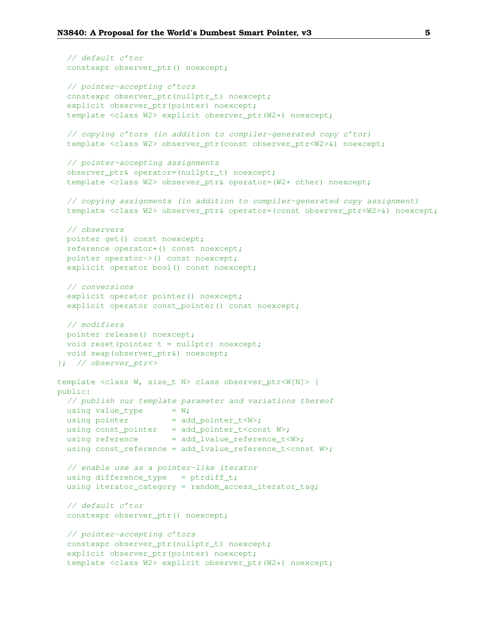```
// default c'tor
  constexpr observer ptr() noexcept;
  // pointer-accepting c'tors
  constexpr observer_ptr(nullptr_t) noexcept;
  explicit observer_ptr(pointer) noexcept;
  template <class W2> explicit observer ptr(W2*) noexcept;
  // copying c'tors (in addition to compiler-generated copy c'tor)
  template <class W2> observer_ptr(const observer_ptr<W2>&) noexcept;
  // pointer-accepting assignments
  observer_ptr& operator=(nullptr_t) noexcept;
  template <class W2> observer_ptr& operator=(W2* other) noexcept;
  // copying assignments (in addition to compiler-generated copy assignment)
  template <class W2> observer_ptr& operator=(const observer_ptr<W2>&) noexcept;
  // observers
  pointer get() const noexcept;
  reference operator*() const noexcept;
  pointer operator->() const noexcept;
  explicit operator bool() const noexcept;
  // conversions
  explicit operator pointer() noexcept;
  explicit operator const_pointer() const noexcept;
  // modifiers
 pointer release() noexcept;
 void reset(pointer t = nullptr) noexcept;
 void swap(observer_ptr&) noexcept;
}; // observer_ptr<>
template <class W, size_t N> class observer_ptr<W[N]> {
public:
  // publish our template parameter and variations thereof
 using value_type = W;using pointer = add\_pointer_t< W>;
 using const_pointer = add_pointer_t<const W>;
 using reference = add lvalue reference t<W>;
 using const_reference = add_lvalue_reference_t<const W>;
  // enable use as a pointer-like iterator
  using difference_type = ptrdiff_t;using iterator_category = random_access_iterator_tag;
  // default c'tor
  constexpr observer_ptr() noexcept;
  // pointer-accepting c'tors
  constexpr observer_ptr(nullptr_t) noexcept;
  explicit observer ptr(pointer) noexcept;
  template <class W2> explicit observer_ptr(W2*) noexcept;
```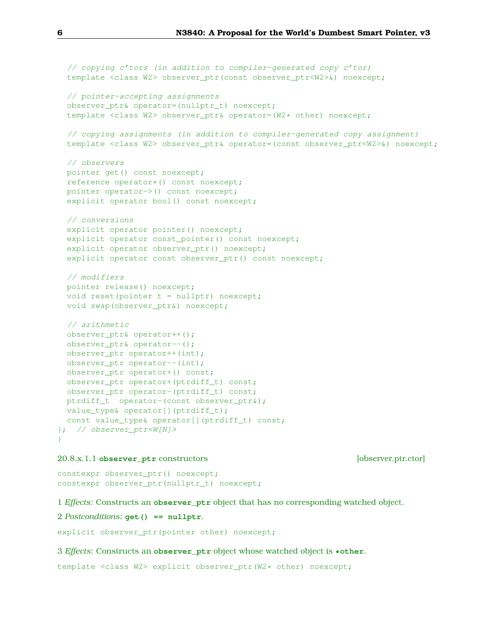```
// copying c'tors (in addition to compiler-generated copy c'tor)
 template <class W2> observer_ptr(const observer_ptr<W2>&) noexcept;
 // pointer-accepting assignments
 observer_ptr& operator=(nullptr_t) noexcept;
 template <class W2> observer ptr& operator=(W2* other) noexcept;
 // copying assignments (in addition to compiler-generated copy assignment)
 template <class W2> observer_ptr& operator=(const observer_ptr<W2>&) noexcept;
 // observers
 pointer get() const noexcept;
 reference operator*() const noexcept;
 pointer operator->() const noexcept;
 explicit operator bool() const noexcept;
 // conversions
 explicit operator pointer() noexcept;
 explicit operator const_pointer() const noexcept;
 explicit operator observer_ptr() noexcept;
 explicit operator const observer_ptr() const noexcept;
 // modifiers
 pointer release() noexcept;
 void reset(pointer t = nullptr) noexcept;
 void swap(observer_ptr&) noexcept;
 // arithmetic
 observer ptr& operator++();
 observer_ptr& operator--();
 observer_ptr operator++(int);
 observer_ptr operator--(int);
 observer_ptr operator+() const;
 observer_ptr operator+(ptrdiff_t) const;
 observer_ptr operator-(ptrdiff_t) const;
 ptrdiff_t operator-(const observer_ptr&);
 value_type& operator[](ptrdiff_t);
 const value_type& operator[](ptrdiff_t) const;
}; // observer_ptr<W[N]>
```
#### 20.8.x.1.1 **observer\_ptr** constructors [observer.ptr.ctor]

}

constexpr observer\_ptr() noexcept; constexpr observer\_ptr(nullptr\_t) noexcept;

1 *Effects:* Constructs an **observer\_ptr** object that has no corresponding watched object.

2 *Postconditions:* **get() == nullptr**.

explicit observer ptr(pointer other) noexcept;

#### 3 *Effects:* Constructs an **observer\_ptr** object whose watched object is **\*other**.

template <class W2> explicit observer\_ptr(W2\* other) noexcept;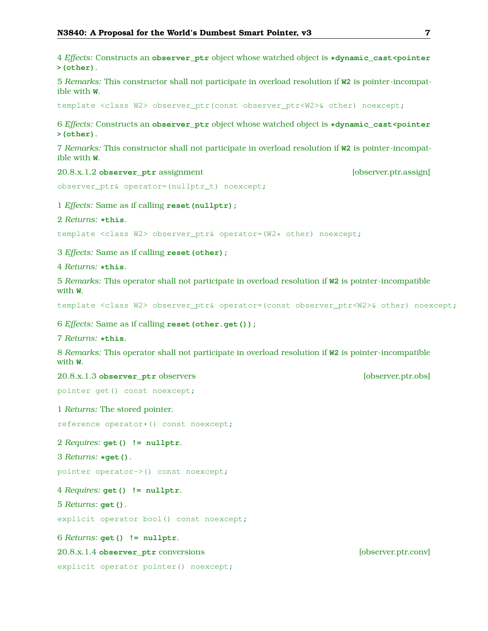4 *Effects:* Constructs an **observer\_ptr** object whose watched object is **\*dynamic\_cast<pointer >(other)**.

5 *Remarks:* This constructor shall not participate in overload resolution if **W2** is pointer-incompatible with **W**.

template <class W2> observer\_ptr(const observer\_ptr<W2>& other) noexcept;

6 *Effects:* Constructs an **observer\_ptr** object whose watched object is **\*dynamic\_cast<pointer >(other)**.

7 *Remarks:* This constructor shall not participate in overload resolution if **W2** is pointer-incompatible with **W**.

20.8.x.1.2 **observer** ptr assignment **and intervalse in the contract of the contract of the contract of the contract of the contract of the contract of the contract of the contract of the contract of the contract of the co** 

```
observer_ptr& operator=(nullptr_t) noexcept;
```
1 *Effects:* Same as if calling **reset(nullptr);**

#### 2 *Returns:* **\*this**.

template <class W2> observer\_ptr& operator=(W2\* other) noexcept;

3 *Effects:* Same as if calling **reset(other);**

4 *Returns:* **\*this**.

5 *Remarks:* This operator shall not participate in overload resolution if **W2** is pointer-incompatible with **W**.

template <class W2> observer\_ptr& operator=(const observer\_ptr<W2>& other) noexcept;

6 *Effects:* Same as if calling **reset(other.get());**

7 *Returns:* **\*this**.

8 *Remarks:* This operator shall not participate in overload resolution if **W2** is pointer-incompatible with **W**.

```
20.8.x.1.3 observer ptr observers and intervention [observer.ptr.obs]
```
pointer get() const noexcept;

1 *Returns:* The stored pointer.

reference operator\*() const noexcept;

2 *Requires:* **get() != nullptr**.

```
3 Returns: *get().
```
pointer operator->() const noexcept;

4 *Requires:* **get() != nullptr**.

5 *Returns:* **get()**.

explicit operator bool() const noexcept;

6 *Returns:* **get() != nullptr**.

20.8.x.1.4 **observer\_ptr** conversions [observer.ptr.conv]

explicit operator pointer() noexcept;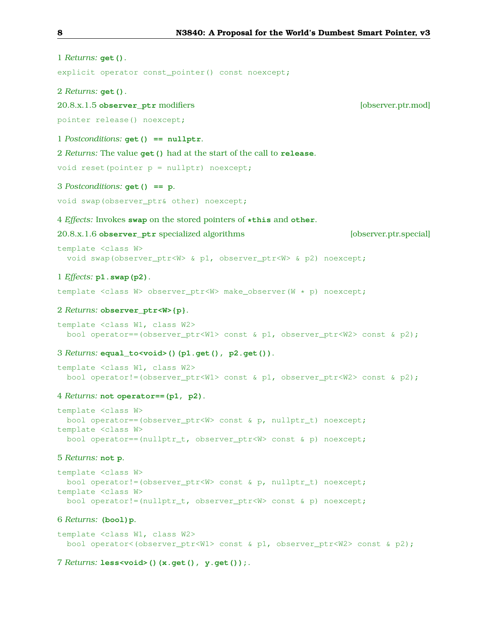| 1 Returns: $get()$ .                                                                                                                                                                                                      |
|---------------------------------------------------------------------------------------------------------------------------------------------------------------------------------------------------------------------------|
| explicit operator const_pointer() const noexcept;                                                                                                                                                                         |
| 2 Returns: $get()$ .                                                                                                                                                                                                      |
| [observer.ptr.mod]<br>20.8.x.1.5 observer_ptr modifiers                                                                                                                                                                   |
| pointer release() noexcept;                                                                                                                                                                                               |
| 1 Postconditions: get () == nullptr.                                                                                                                                                                                      |
| 2 Returns: The value get () had at the start of the call to release.                                                                                                                                                      |
| void reset (pointer $p = nullptr$ ) noexcept;                                                                                                                                                                             |
| 3 Postconditions: $get() == p$ .                                                                                                                                                                                          |
| void swap (observer_ptr& other) noexcept;                                                                                                                                                                                 |
| 4 Effects: Invokes swap on the stored pointers of *this and other.                                                                                                                                                        |
| 20.8.x.1.6 observer_ptr specialized algorithms<br>[observer.ptr.special]                                                                                                                                                  |
| template <class w=""><br/>void swap (observer_ptr<w> &amp; p1, observer_ptr<w> &amp; p2) noexcept;</w></w></class>                                                                                                        |
| $1$ <i>Effects:</i> $p1$ . swap( $p2$ ).                                                                                                                                                                                  |
| template <class w=""> observer_ptr<w> make_observer(W * p) noexcept;</w></class>                                                                                                                                          |
| 2 Returns: observer_ptr <w>{p}.</w>                                                                                                                                                                                       |
| template <class class="" w1,="" w2=""><br/>bool operator==(observer_ptr<w1> const &amp; p1, observer_ptr<w2> const &amp; p2);</w2></w1></class>                                                                           |
| 3 Returns: equal_to <void>()(p1.get(), p2.get()).</void>                                                                                                                                                                  |
| template <class class="" w1,="" w2=""><br/>bool operator!=(observer_ptr<w1> const &amp; p1, observer_ptr<w2> const &amp; p2);</w2></w1></class>                                                                           |
| 4 Returns: not operator== (p1, p2).                                                                                                                                                                                       |
| template <class w=""><br/>bool operator == (observer_ptr<w> const &amp; p, nullptr_t) noexcept;<br/>template <class w=""><br/>bool operator==(nullptr_t, observer_ptr<w> const &amp; p) noexcept;</w></class></w></class> |
| 5 Returns: not p.                                                                                                                                                                                                         |
| template <class w=""><br/>bool operator!=(observer_ptr<w> const &amp; p, nullptr_t) noexcept;<br/>template <class w=""><br/>bool operator!=(nullptr_t, observer_ptr<w> const &amp; p) noexcept;</w></class></w></class>   |
| 6 Returns: (bool) p.                                                                                                                                                                                                      |
| template <class class="" w1,="" w2=""><br/>bool operator&lt;(observer_ptr<w1> const &amp; p1, observer_ptr<w2> const &amp; p2);</w2></w1></class>                                                                         |

# 7 *Returns:* **less<void>()(x.get(), y.get());**.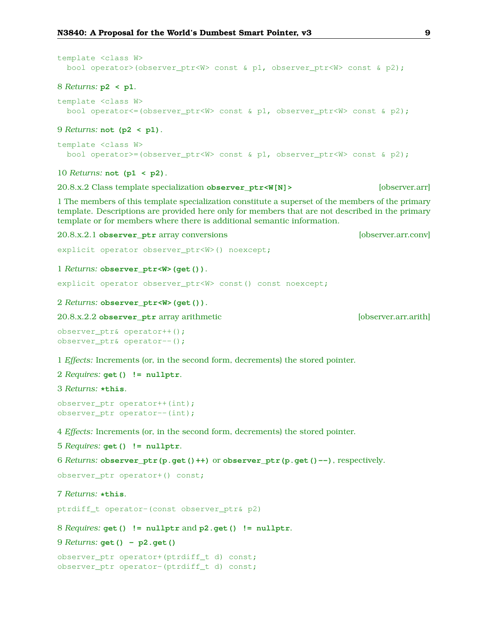```
template <class W>
 bool operator>(observer_ptr<W> const & p1, observer_ptr<W> const & p2);
8 Returns: p2 < p1.
template <class W>
 bool operator<=(observer_ptr<W> const & p1, observer_ptr<W> const & p2);
9 Returns: not (p2 < p1).
template <class W>
 bool operator>=(observer_ptr<W> const & p1, observer_ptr<W> const & p2);
10 Returns: not (p1 < p2).
20.8.x.2 Class template specialization observer ptr<W[N]> [observer.arr]
```
1 The members of this template specialization constitute a superset of the members of the primary template. Descriptions are provided here only for members that are not described in the primary template or for members where there is additional semantic information.

```
20.8.x.2.1 observer ptr array conversions [observer.arr.conv]
```

```
explicit operator observer_ptr<W>() noexcept;
```

```
1 Returns: observer_ptr<W>(get()).
```

```
explicit operator observer_ptr<W> const() const noexcept;
```

```
2 Returns: observer_ptr<W>(get()).
```
20.8.x.2.2 **observer\_ptr** array arithmetic [observer.arr.arith]

```
observer_ptr& operator++();
observer_ptr& operator--();
```
1 *Effects:* Increments (or, in the second form, decrements) the stored pointer.

```
2 Requires: get() != nullptr.
```
3 *Returns:* **\*this**.

```
observer_ptr operator++(int);
observer ptr operator--(int);
```
4 *Effects:* Increments (or, in the second form, decrements) the stored pointer.

5 *Requires:* **get() != nullptr**.

6 *Returns:* **observer\_ptr(p.get()++)** or **observer\_ptr(p.get()--)**, respectively.

observer ptr operator+() const;

```
7 Returns: *this.
```
ptrdiff\_t operator-(const observer\_ptr& p2)

8 *Requires:* **get() != nullptr** and **p2.get() != nullptr**.

```
9 Returns: get() - p2.get()
```

```
observer_ptr operator+(ptrdiff_t d) const;
observer_ptr operator-(ptrdiff_t d) const;
```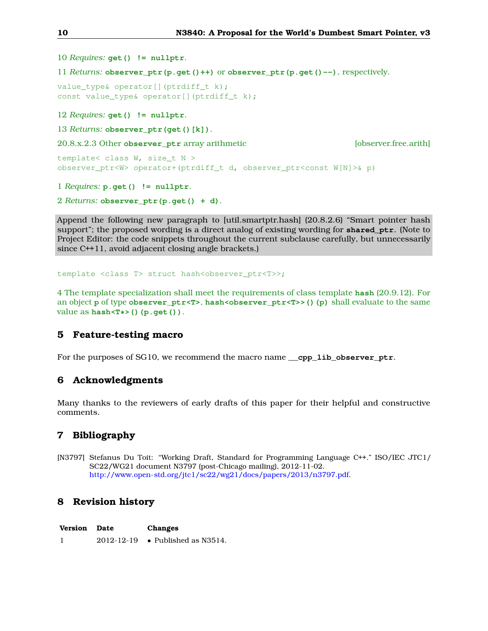10 *Requires:* **get() != nullptr**.

11 *Returns:* **observer\_ptr(p.get()++)** or **observer\_ptr(p.get()--)**, respectively.

```
value_type& operator[](ptrdiff_t k);
const value_type& operator[](ptrdiff_t k);
```
12 *Requires:* **get() != nullptr**.

13 *Returns:* **observer\_ptr(get()[k])**.

20.8.x.2.3 Other **observer\_ptr** array arithmetic [observer.free.arith]

```
template< class W, size_t N >
observer_ptr<W> operator+(ptrdiff_t d, observer_ptr<const W[N]>& p)
```
1 *Requires:* **p.get() != nullptr**.

2 *Returns:* **observer\_ptr(p.get() + d)**.

Append the following new paragraph to [util.smartptr.hash] (20.8.2.6) "Smart pointer hash support"; the proposed wording is a direct analog of existing wording for **shared\_ptr**. (Note to Project Editor: the code snippets throughout the current subclause carefully, but unnecessarily since C++11, avoid adjacent closing angle brackets.)

template <class T> struct hash<observer ptr<T>>;

4 The template specialization shall meet the requirements of class template **hash** (20.9.12). For an object **p** of type **observer\_ptr<T>**, **hash<observer\_ptr<T>>()(p)** shall evaluate to the same value as **hash<T\*>()(p.get())**.

# <span id="page-9-0"></span>**5 Feature-testing macro**

<span id="page-9-1"></span>For the purposes of SG10, we recommend the macro name <u>\_\_cpp\_lib\_observer\_ptr</u>.

## **6 Acknowledgments**

<span id="page-9-2"></span>Many thanks to the reviewers of early drafts of this paper for their helpful and constructive comments.

## **7 Bibliography**

<span id="page-9-4"></span>[N3797] Stefanus Du Toit: "Working Draft, Standard for Programming Language C++." ISO/IEC JTC1/ SC22/WG21 document N3797 (post-Chicago mailing), 2012-11-02. [http://www.open-std.org/jtc1/sc22/wg21/docs/papers/2013/n3797.pdf.](http://www.open-std.org/jtc1/sc22/wg21/docs/papers/2013/n3797.pdf)

# <span id="page-9-3"></span>**8 Revision history**

| <b>Version</b> Date | Changes                          |
|---------------------|----------------------------------|
|                     | 2012-12-19 • Published as N3514. |